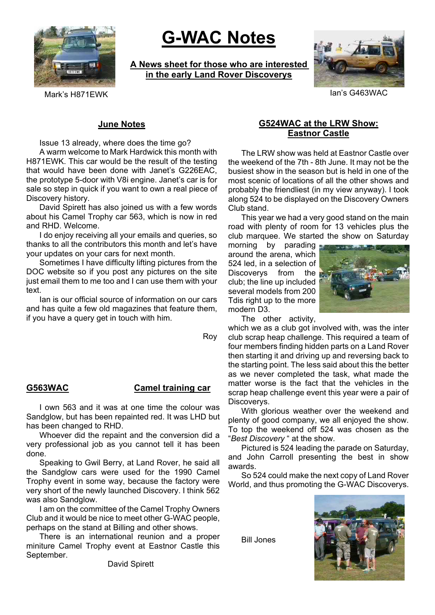

# **G-WAC Notes**

**A News sheet for those who are interested in the early Land Rover Discoverys**



Mark's H871FWK Ian's G463WAC

## **June Notes**

Issue 13 already, where does the time go?

A warm welcome to Mark Hardwick this month with H871EWK. This car would be the result of the testing that would have been done with Janet's G226EAC, the prototype 5-door with V8i engine. Janet's car is for sale so step in quick if you want to own a real piece of Discovery history.

David Spirett has also joined us with a few words about his Camel Trophy car 563, which is now in red and RHD. Welcome.

I do enjoy receiving all your emails and queries, so thanks to all the contributors this month and let's have your updates on your cars for next month.

Sometimes I have difficulty lifting pictures from the DOC website so if you post any pictures on the site just email them to me too and I can use them with your text.

Ian is our official source of information on our cars and has quite a few old magazines that feature them, if you have a query get in touch with him.

Roy

# **G563WAC Camel training car**

I own 563 and it was at one time the colour was Sandglow, but has been repainted red. It was LHD but has been changed to RHD.

Whoever did the repaint and the conversion did a very professional job as you cannot tell it has been done.

Speaking to Gwil Berry, at Land Rover, he said all the Sandglow cars were used for the 1990 Camel Trophy event in some way, because the factory were very short of the newly launched Discovery. I think 562 was also Sandglow.

I am on the committee of the Camel Trophy Owners Club and it would be nice to meet other G-WAC people, perhaps on the stand at Billing and other shows.

There is an international reunion and a proper miniture Camel Trophy event at Eastnor Castle this September.

# **G524WAC at the LRW Show: Eastnor Castle**

The LRW show was held at Eastnor Castle over the weekend of the 7th - 8th June. It may not be the busiest show in the season but is held in one of the most scenic of locations of all the other shows and probably the friendliest (in my view anyway). I took along 524 to be displayed on the Discovery Owners Club stand.

This year we had a very good stand on the main road with plenty of room for 13 vehicles plus the club marquee. We started the show on Saturday

morning by parading around the arena, which 524 led, in a selection of Discoverys from the club; the line up included several models from 200 Tdis right up to the more modern D3.



The other activity,

which we as a club got involved with, was the inter club scrap heap challenge. This required a team of four members finding hidden parts on a Land Rover then starting it and driving up and reversing back to the starting point. The less said about this the better as we never completed the task, what made the matter worse is the fact that the vehicles in the scrap heap challenge event this year were a pair of Discoverys.

With glorious weather over the weekend and plenty of good company, we all enjoyed the show. To top the weekend off 524 was chosen as the "*Best Discovery* " at the show.

Pictured is 524 leading the parade on Saturday, and John Carroll presenting the best in show awards.

So 524 could make the next copy of Land Rover World, and thus promoting the G-WAC Discoverys.

Bill Jones



David Spirett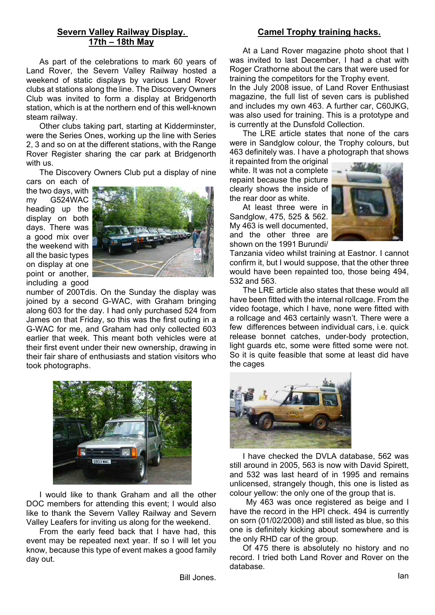# **Severn Valley Railway Display. 17th – 18th May**

As part of the celebrations to mark 60 years of Land Rover, the Severn Valley Railway hosted a weekend of static displays by various Land Rover clubs at stations along the line. The Discovery Owners Club was invited to form a display at Bridgenorth station, which is at the northern end of this well-known steam railway.

Other clubs taking part, starting at Kidderminster, were the Series Ones, working up the line with Series 2, 3 and so on at the different stations, with the Range Rover Register sharing the car park at Bridgenorth with us.

The Discovery Owners Club put a display of nine

cars on each of the two days, with my G524WAC heading up the display on both days. There was a good mix over the weekend with all the basic types on display at one point or another, including a good



number of 200Tdis. On the Sunday the display was joined by a second G-WAC, with Graham bringing along 603 for the day. I had only purchased 524 from James on that Friday, so this was the first outing in a G-WAC for me, and Graham had only collected 603 earlier that week. This meant both vehicles were at their first event under their new ownership, drawing in their fair share of enthusiasts and station visitors who took photographs.



I would like to thank Graham and all the other DOC members for attending this event; I would also like to thank the Severn Valley Railway and Severn Valley Leafers for inviting us along for the weekend.

From the early feed back that I have had, this event may be repeated next year. If so I will let you know, because this type of event makes a good family day out.

# **Camel Trophy training hacks.**

At a Land Rover magazine photo shoot that I was invited to last December, I had a chat with Roger Crathorne about the cars that were used for training the competitors for the Trophy event.

In the July 2008 issue, of Land Rover Enthusiast magazine, the full list of seven cars is published and includes my own 463. A further car, C60JKG, was also used for training. This is a prototype and is currently at the Dunsfold Collection.

The LRE article states that none of the cars were in Sandglow colour, the Trophy colours, but 463 definitely was. I have a photograph that shows

it repainted from the original white. It was not a complete repaint because the picture clearly shows the inside of the rear door as white.

At least three were in Sandglow, 475, 525 & 562. My 463 is well documented, and the other three are shown on the 1991 Burundi/



Tanzania video whilst training at Eastnor. I cannot confirm it, but I would suppose, that the other three would have been repainted too, those being 494, 532 and 563.

The LRE article also states that these would all have been fitted with the internal rollcage. From the video footage, which I have, none were fitted with a rollcage and 463 certainly wasn't. There were a few differences between individual cars, i.e. quick release bonnet catches, under-body protection, light guards etc, some were fitted some were not. So it is quite feasible that some at least did have the cages



I have checked the DVLA database, 562 was still around in 2005, 563 is now with David Spirett, and 532 was last heard of in 1995 and remains unlicensed, strangely though, this one is listed as colour yellow: the only one of the group that is.

My 463 was once registered as beige and I have the record in the HPI check. 494 is currently on sorn (01/02/2008) and still listed as blue, so this one is definitely kicking about somewhere and is the only RHD car of the group.

Of 475 there is absolutely no history and no record. I tried both Land Rover and Rover on the database.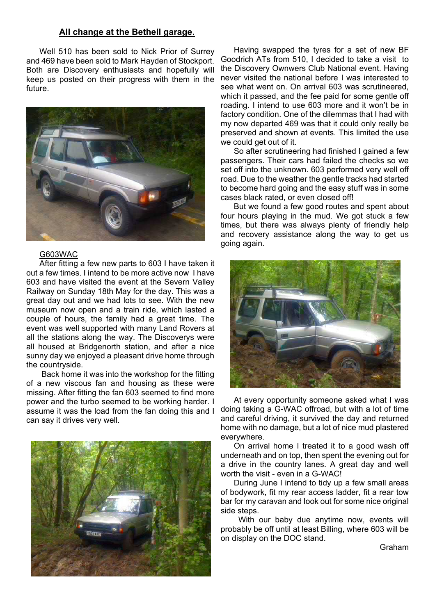#### **All change at the Bethell garage.**

Well 510 has been sold to Nick Prior of Surrey and 469 have been sold to Mark Hayden of Stockport. Both are Discovery enthusiasts and hopefully will keep us posted on their progress with them in the future.



#### G603WAC

After fitting a few new parts to 603 I have taken it out a few times. I intend to be more active now I have 603 and have visited the event at the Severn Valley Railway on Sunday 18th May for the day. This was a great day out and we had lots to see. With the new museum now open and a train ride, which lasted a couple of hours, the family had a great time. The event was well supported with many Land Rovers at all the stations along the way. The Discoverys were all housed at Bridgenorth station, and after a nice sunny day we enjoyed a pleasant drive home through the countryside.

 Back home it was into the workshop for the fitting of a new viscous fan and housing as these were missing. After fitting the fan 603 seemed to find more power and the turbo seemed to be working harder. I assume it was the load from the fan doing this and I can say it drives very well.



Having swapped the tyres for a set of new BF Goodrich ATs from 510, I decided to take a visit to the Discovery Ownwers Club National event. Having never visited the national before I was interested to see what went on. On arrival 603 was scrutineered, which it passed, and the fee paid for some gentle off roading. I intend to use 603 more and it won't be in factory condition. One of the dilemmas that I had with my now departed 469 was that it could only really be preserved and shown at events. This limited the use we could get out of it.

So after scrutineering had finished I gained a few passengers. Their cars had failed the checks so we set off into the unknown. 603 performed very well off road. Due to the weather the gentle tracks had started to become hard going and the easy stuff was in some cases black rated, or even closed off!

But we found a few good routes and spent about four hours playing in the mud. We got stuck a few times, but there was always plenty of friendly help and recovery assistance along the way to get us going again.



At every opportunity someone asked what I was doing taking a G-WAC offroad, but with a lot of time and careful driving, it survived the day and returned home with no damage, but a lot of nice mud plastered everywhere.

On arrival home I treated it to a good wash off underneath and on top, then spent the evening out for a drive in the country lanes. A great day and well worth the visit - even in a G-WAC!

During June I intend to tidy up a few small areas of bodywork, fit my rear access ladder, fit a rear tow bar for my caravan and look out for some nice original side steps.

With our baby due anytime now, events will probably be off until at least Billing, where 603 will be on display on the DOC stand.

Graham